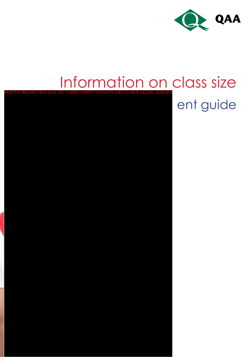

#### Information on class size **CTED DUE TO THIRD PARTY RIGHTS OR OTHER LEGAL ISSUE**

ent guide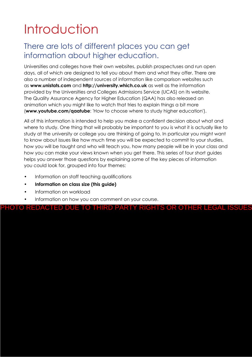# **Introduction**

#### There are lots of different places you can get information about higher education.

Universities and colleges have their own websites, publish prospectuses and run open days, all of which are designed to tell you about them and what they offer. There are also a number of independent sources of information like comparison websites such as **www.unistats.com** and **http://university.which.co.uk** as well as the information provided by the Universities and Colleges Admissions Service (UCAS) on its website. The Quality Assurance Agency for Higher Education (QAA) has also released an animation which you might like to watch that tries to explain things a bit more (**www.youtube.com/qaatube**: 'How to choose where to study higher education').

All of this information is intended to help you make a confident decision about what and where to study. One thing that will probably be important to you is what it is actually like to study at the university or college you are thinking of going to. In particular you might want to know about issues like how much time you will be expected to commit to your studies, how you will be taught and who will teach you, how many people will be in your class and how you can make your views known when you get there. This series of four short guides helps you answer those questions by explaining some of the key pieces of information you could look for, grouped into four themes:

- Information on staff teaching qualifications
- **• Information on class size (this guide)**
- Information on workload
- Information on how you can comment on your course.

PHOTO REDACTED DUE TO THIRD PARTY RIGHTS OR OTHER LEGAL ISSUES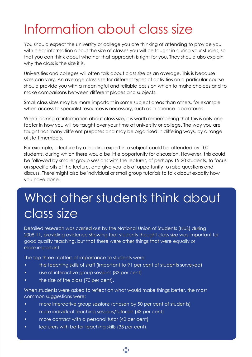### Information about class size

You should expect the university or college you are thinking of attending to provide you with clear information about the size of classes you will be taught in during your studies, so that you can think about whether that approach is right for you. They should also explain why the class is the size it is.

Universities and colleges will often talk about class size as an average. This is because sizes can vary. An average class size for different types of activities on a particular course should provide you with a meaningful and reliable basis on which to make choices and to make comparisons between different places and subjects.

Small class sizes may be more important in some subject areas than others, for example when access to specialist resources is necessary, such as in science laboratories.

When looking at information about class size, it is worth remembering that this is only one factor in how you will be taught over your time at university or college. The way you are taught has many different purposes and may be organised in differing ways, by a range of staff members.

For example, a lecture by a leading expert in a subject could be attended by 100 students, during which there would be little opportunity for discussion. However, this could be followed by smaller group sessions with the lecturer, of perhaps 15-20 students, to focus on specific bits of the lecture, and give you lots of opportunity to raise questions and discuss. There might also be individual or small group tutorials to talk about exactly how you have done.

#### What other students think about class size

Detailed research was carried out by the National Union of Students (NUS) during 2008-11, providing evidence showing that students thought class size was important for good quality teaching, but that there were other things that were equally or more important.

The top three matters of importance to students were:

- the teaching skills of staff (important to 91 per cent of students surveyed)
- use of interactive group sessions (83 per cent)
- the size of the class (70 per cent).

When students were asked to reflect on what would make things better, the most common suggestions were:

- more interactive group sessions (chosen by 50 per cent of students)
- more individual teaching sessions/tutorials (43 per cent)
- more contact with a personal tutor (42 per cent)
- lecturers with better teaching skills (35 per cent).

 $(2)$